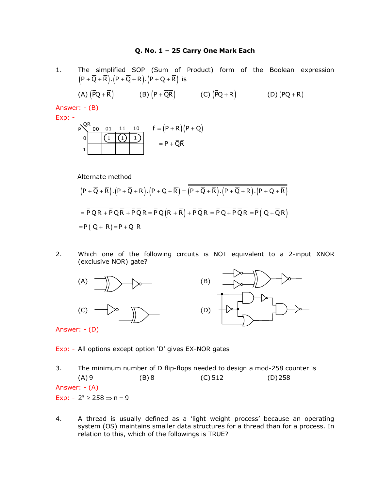#### **Q. No. 1 – 25 Carry One Mark Each**

1. The simplified SOP (Sum of Product) form of the Boolean expression  $(P + \overline{Q} + \overline{R})$ . $(P + \overline{Q} + R)$ . $(P + Q + \overline{R})$  is

(A) 
$$
(\overline{P}Q + \overline{R})
$$
 (B)  $(P + \overline{QR})$  (C)  $(\overline{P}Q + R)$  (D)  $(PQ + R)$ 

Answer: - (B)



Alternate method

$$
(P + \overline{Q} + \overline{R}).(P + \overline{Q} + R).(P + Q + \overline{R}) = \overline{\overline{(P + \overline{Q} + \overline{R}).(P + \overline{Q} + R).(P + Q + \overline{R})}}
$$
\n
$$
= \overline{\overline{P}QR + \overline{P}Q\overline{R} + \overline{P}\overline{Q}R} = \overline{\overline{P}Q(R + \overline{R}) + \overline{P}\overline{Q}R} = \overline{\overline{P}Q + \overline{P}\overline{Q}R} = \overline{\overline{P}(Q + \overline{Q}R)}
$$
\n
$$
= \overline{\overline{P}(Q + R)} = P + \overline{Q}\ \overline{R}
$$

2. Which one of the following circuits is NOT equivalent to a 2-input XNOR (exclusive NOR) gate?



Exp: - All options except option 'D' gives EX-NOR gates

3. The minimum number of D flip-flops needed to design a mod-258 counter is  $(A) 9$  (B) 8 (C) 512 (D) 258 Answer: - (A) Exp:  $-2^n \ge 258 \Rightarrow n = 9$ 

4. A thread is usually defined as a 'light weight process' because an operating system (OS) maintains smaller data structures for a thread than for a process. In relation to this, which of the followings is TRUE?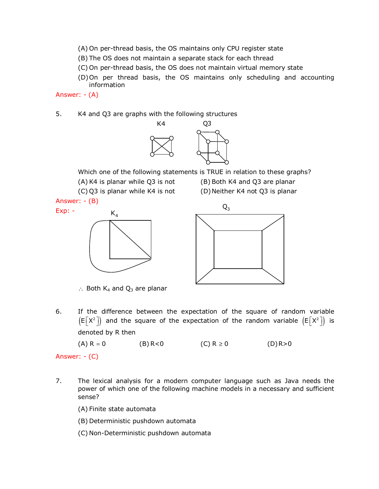- (A) On per-thread basis, the OS maintains only CPU register state
- (B) The OS does not maintain a separate stack for each thread
- (C) On per-thread basis, the OS does not maintain virtual memory state
- (D)On per thread basis, the OS maintains only scheduling and accounting information

Answer: - (A)

5. K4 and Q3 are graphs with the following structures



Which one of the following statements is TRUE in relation to these graphs?

(A) K4 is planar while Q3 is not (B) Both K4 and Q3 are planar (C) Q3 is planar while K4 is not (D)Neither K4 not Q3 is planar

Answer: - (B)

Exp: -





∴ Both  $K_4$  and  $Q_3$  are planar

6. If the difference between the expectation of the square of random variable  $\left(\mathsf{E}\big[\mathsf{X}^{\mathsf{2}}\big]\right)$  and the square of the expectation of the random variable  $\left(\mathsf{E}\big[\mathsf{X}^{\mathsf{2}}\big]\right)$  is denoted by R then

(A) R = 0 (B) R < 0 (C) R ≥ 0 (D) R > 0

Answer: - (C)

7. The lexical analysis for a modern computer language such as Java needs the power of which one of the following machine models in a necessary and sufficient sense?

(A) Finite state automata

(B) Deterministic pushdown automata

(C) Non-Deterministic pushdown automata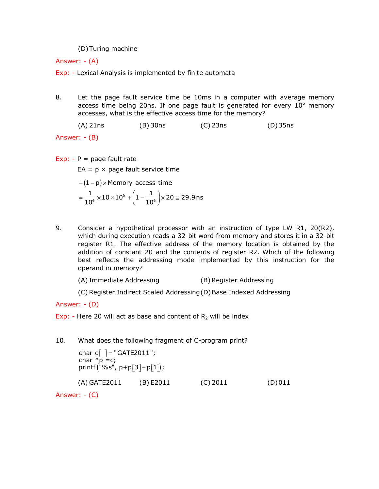### (D)Turing machine

Answer: - (A)

Exp: - Lexical Analysis is implemented by finite automata

8. Let the page fault service time be 10ms in a computer with average memory access time being 20ns. If one page fault is generated for every  $10^6$  memory accesses, what is the effective access time for the memory?

(A) 21ns (B) 30ns (C) 23ns (D)35ns

Answer: - (B)

Exp: -  $P =$  page fault rate

 $EA = p \times page$  fault service time

$$
+(1-p) \times \text{Memory access time}
$$

$$
= \frac{1}{10^6} \times 10 \times 10^6 + \left(1 - \frac{1}{10^6}\right) \times 20 \cong 29.9 \text{ns}
$$

9. Consider a hypothetical processor with an instruction of type LW R1, 20(R2), which during execution reads a 32-bit word from memory and stores it in a 32-bit register R1. The effective address of the memory location is obtained by the addition of constant 20 and the contents of register R2. Which of the following best reflects the addressing mode implemented by this instruction for the operand in memory?

(A) Immediate Addressing (B) Register Addressing

(C) Register Indirect Scaled Addressing(D)Base Indexed Addressing

Answer: - (D)

Exp: - Here 20 will act as base and content of  $R_2$  will be index

10. What does the following fragment of C-program print?

```
\textsf{printf}\big( \textsf{``}\% \textsf{s''}, \ \textsf{p+p}[3]\textsf{-p}[1] \big);char c[ ] = "GATE2011";
        char \overline{p} = c;
        (A) GATE2011 (B) E2011 (C) 2011 (D)011
Answer: - (C)
```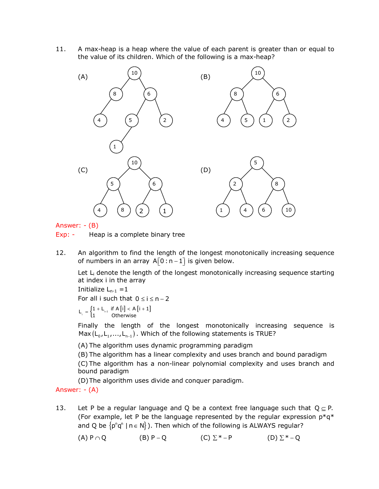11. A max-heap is a heap where the value of each parent is greater than or equal to the value of its children. Which of the following is a max-heap?



Answer: - (B)

Exp: - Heap is a complete binary tree

12. An algorithm to find the length of the longest monotonically increasing sequence of numbers in an array  $A[0:n-1]$  is given below.

Let  $L_i$  denote the length of the longest monotonically increasing sequence starting at index i in the array

Initialize  $L_{n-1} = 1$ 

For all i such that  $0 \le i \le n - 2$ 

$$
L_i = \begin{cases} 1 + L_{i+1} & \text{if } A[i] < A[i+1] \\ 1 & \text{Otherwise} \end{cases}
$$

Finally the length of the longest monotonically increasing sequence is Max  $(\mathsf{L}_\mathsf{0}, \mathsf{L}_\mathsf{1},...,\mathsf{L}_{\mathsf{n}-\mathsf{1}})$  . Which of the following statements is TRUE?

(A) The algorithm uses dynamic programming paradigm

(B) The algorithm has a linear complexity and uses branch and bound paradigm (C) The algorithm has a non-linear polynomial complexity and uses branch and bound paradigm

(D)The algorithm uses divide and conquer paradigm.

Answer: - (A)

13. Let P be a regular language and Q be a context free language such that  $Q \subset P$ . (For example, let P be the language represented by the regular expression  $p^*q^*$ and Q be  $\{p^n q^n \mid n \in N\}$ ). Then which of the following is ALWAYS regular?

(A)  $P \cap Q$  (B)  $P - Q$  (C)  $\Sigma^* - P$  (D)  $\Sigma^* - Q$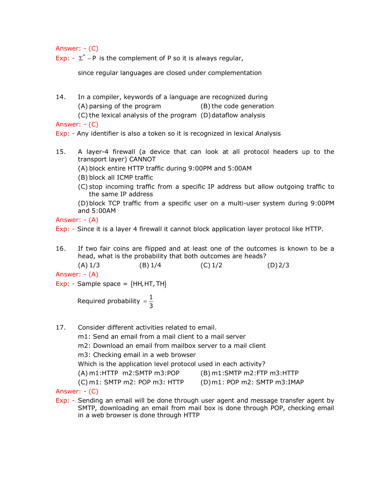Answer: - (C)

Exp:  $-\Sigma^*$  – P is the complement of P so it is always regular,

since regular languages are closed under complementation

14. In a compiler, keywords of a language are recognized during (A) parsing of the program (B) the code generation (C) the lexical analysis of the program (D)dataflow analysis

Answer: - (C)

Exp: - Any identifier is also a token so it is recognized in lexical Analysis

- 15. A layer-4 firewall (a device that can look at all protocol headers up to the transport layer) CANNOT
	- (A) block entire HTTP traffic during 9:00PM and 5:00AM
	- (B) block all ICMP traffic
	- (C) stop incoming traffic from a specific IP address but allow outgoing traffic to the same IP address

(D)block TCP traffic from a specific user on a multi-user system during 9:00PM and 5:00AM

Answer: - (A)

Exp: - Since it is a layer 4 firewall it cannot block application layer protocol like HTTP.

16. If two fair coins are flipped and at least one of the outcomes is known to be a head, what is the probability that both outcomes are heads?

 $(A) 1/3$  (B) 1/4 (C) 1/2 (D) 2/3 Answer: - (A)

Exp: - Sample space =  ${HH, HT, TH}$ 

Required probability =  $\frac{1}{2}$ 3 =

- 17. Consider different activities related to email.
	- m1: Send an email from a mail client to a mail server

m2: Download an email from mailbox server to a mail client

- m3: Checking email in a web browser
- Which is the application level protocol used in each activity?

(A) m1:HTTP m2:SMTP m3:POP (B) m1:SMTP m2:FTP m3:HTTP

(C) m1: SMTP m2: POP m3: HTTP (D)m1: POP m2: SMTP m3:IMAP

Answer: - (C)

Exp: - Sending an email will be done through user agent and message transfer agent by SMTP, downloading an email from mail box is done through POP, checking email in a web browser is done through HTTP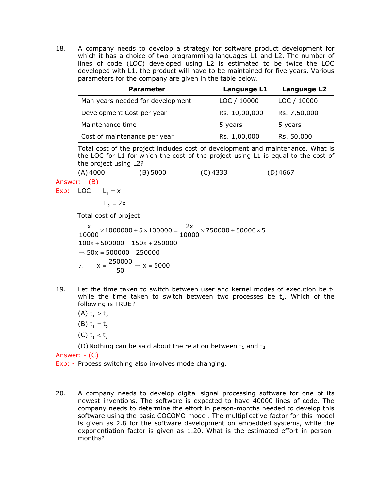18. A company needs to develop a strategy for software product development for which it has a choice of two programming languages L1 and L2. The number of lines of code (LOC) developed using L2 is estimated to be twice the LOC developed with L1. the product will have to be maintained for five years. Various parameters for the company are given in the table below.

| <b>Parameter</b>                 | Language L1   | Language L2  |
|----------------------------------|---------------|--------------|
| Man years needed for development | LOC / 10000   | LOC / 10000  |
| Development Cost per year        | Rs. 10,00,000 | Rs. 7,50,000 |
| Maintenance time                 | 5 years       | 5 years      |
| Cost of maintenance per year     | Rs. 1,00,000  | Rs. 50,000   |

Total cost of the project includes cost of development and maintenance. What is the LOC for L1 for which the cost of the project using L1 is equal to the cost of the project using L2?

(A) 4000 (B) 5000 (C) 4333 (D)4667 Answer: - (B)

Exp: -  $LOC$   $L_1 = x$ 

$$
L_2 = 2x
$$

Total cost of project

- $\frac{x}{10000}$  × 1000000 + 5 × 100000 =  $\frac{2x}{10000}$  × 750000 + 50000 × 5  $100x + 500000 = 150x + 250000$  $\Rightarrow$  50x = 500000 - 250000 ∴  $x = \frac{250000}{50}$  ⇒  $x = 5000$
- 19. Let the time taken to switch between user and kernel modes of execution be  $t_1$ while the time taken to switch between two processes be  $t<sub>2</sub>$ . Which of the following is TRUE?
	- (A)  $t_1 > t_2$
	- (B)  $t_1 = t_2$
	- (C)  $t_1 < t_2$

(D) Nothing can be said about the relation between  $t_1$  and  $t_2$ 

Answer: - (C)

Exp: - Process switching also involves mode changing.

20. A company needs to develop digital signal processing software for one of its newest inventions. The software is expected to have 40000 lines of code. The company needs to determine the effort in person-months needed to develop this software using the basic COCOMO model. The multiplicative factor for this model is given as 2.8 for the software development on embedded systems, while the exponentiation factor is given as 1.20. What is the estimated effort in personmonths?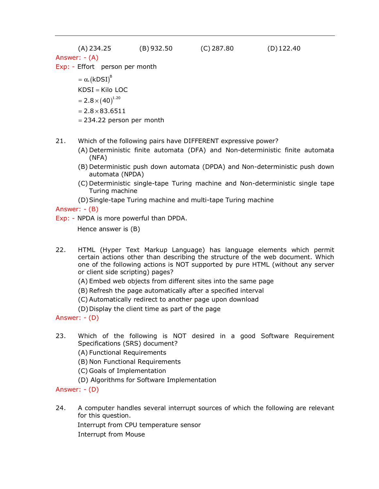| (A) 234.25                     | $(B)$ 932.50 | $(C)$ 287.80 | $(D)$ 122.40 |
|--------------------------------|--------------|--------------|--------------|
| Answer: - (A)                  |              |              |              |
| Exp: - Effort person per month |              |              |              |
| $= \alpha. (kDSI)^B$           |              |              |              |
| $KDSI = Kilo LOC$              |              |              |              |
| $=2.8\times(40)^{1.20}$        |              |              |              |
| $= 2.8 \times 83.6511$         |              |              |              |
| $= 234.22$ person per month    |              |              |              |

- 21. Which of the following pairs have DIFFERENT expressive power?
	- (A) Deterministic finite automata (DFA) and Non-deterministic finite automata (NFA)
	- (B) Deterministic push down automata (DPDA) and Non-deterministic push down automata (NPDA)
	- (C) Deterministic single-tape Turing machine and Non-deterministic single tape Turing machine
	- (D)Single-tape Turing machine and multi-tape Turing machine

## Answer: - (B)

Exp: - NPDA is more powerful than DPDA.

Hence answer is (B)

- 22. HTML (Hyper Text Markup Language) has language elements which permit certain actions other than describing the structure of the web document. Which one of the following actions is NOT supported by pure HTML (without any server or client side scripting) pages?
	- (A) Embed web objects from different sites into the same page
	- (B) Refresh the page automatically after a specified interval
	- (C) Automatically redirect to another page upon download
	- (D)Display the client time as part of the page

Answer: - (D)

- 23. Which of the following is NOT desired in a good Software Requirement Specifications (SRS) document?
	- (A) Functional Requirements
	- (B) Non Functional Requirements
	- (C) Goals of Implementation
	- (D) Algorithms for Software Implementation

## Answer: - (D)

24. A computer handles several interrupt sources of which the following are relevant for this question.

Interrupt from CPU temperature sensor

Interrupt from Mouse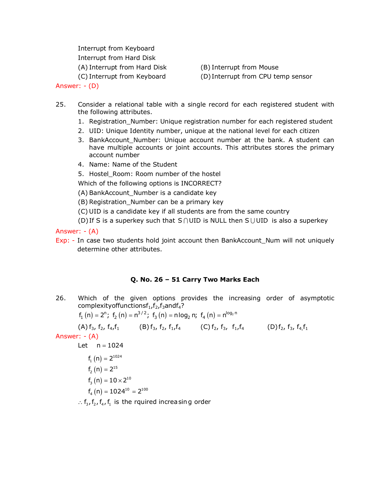Interrupt from Keyboard Interrupt from Hard Disk (A) Interrupt from Hard Disk (B) Interrupt from Mouse

(C) Interrupt from Keyboard (D) Interrupt from CPU temp sensor

Answer: - (D)

- 25. Consider a relational table with a single record for each registered student with the following attributes.
	- 1. Registration\_Number: Unique registration number for each registered student
	- 2. UID: Unique Identity number, unique at the national level for each citizen
	- 3. BankAccount Number: Unique account number at the bank. A student can have multiple accounts or joint accounts. This attributes stores the primary account number
	- 4. Name: Name of the Student
	- 5. Hostel Room: Room number of the hostel

Which of the following options is INCORRECT?

(A) BankAccount\_Number is a candidate key

- (B) Registration\_Number can be a primary key
- (C) UID is a candidate key if all students are from the same country
- (D) If S is a superkey such that S ∩ UID is NULL then S U UID is also a superkey

Answer: - (A)

Exp: - In case two students hold joint account then BankAccount\_Num will not uniquely determine other attributes.

# **Q. No. 26 – 51 Carry Two Marks Each**

26. Which of the given options provides the increasing order of asymptotic complexity of functions  $f_1, f_2, f_3$  and  $f_4$ ?

$$
f_1(n) = 2^n; f_2(n) = n^{3/2}; f_3(n) = n \log_2 n; f_4(n) = n^{\log_2 n}
$$

(A)  $f_3$ ,  $f_2$ ,  $f_4$ ,  $f_1$  (B)  $f_3$ ,  $f_2$ ,  $f_1$ ,  $f_4$  (C)  $f_2$ ,  $f_3$ ,  $f_1$ ,  $f_4$  (D)  $f_2$ ,  $f_3$ ,  $f_4$ ,  $f_1$ Answer: - (A) Let  $n = 1024$  $f_1(n) = 2^{1024}$  $f_2(n) = 2^{15}$  $f_3(n) = 10 \times 2^{10}$  $f_4(n) = 1024^{10} = 2^{100}$ 

 $\therefore$  f<sub>3</sub>, f<sub>2</sub>, f<sub>4</sub>, f<sub>1</sub> is the rquired increasing order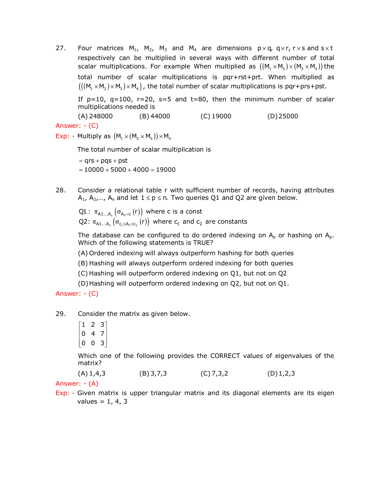27. Four matrices  $M_1$ ,  $M_2$ ,  $M_3$  and  $M_4$  are dimensions  $p \times q$ ,  $q \times r$ ,  $r \times s$  and  $s \times t$ respectively can be multiplied in several ways with different number of total scalar multiplications. For example When multiplied as  $((M_1 \times M_2) \times (M_3 \times M_4))$  the total number of scalar multiplications is pqr+rst+prt. When multiplied as  $(((M_1 \times M_2) \times M_3) \times M_4)$ , the total number of scalar multiplications is pqr+prs+pst.

If  $p=10$ ,  $q=100$ ,  $r=20$ ,  $s=5$  and  $t=80$ , then the minimum number of scalar multiplications needed is

(A) 248000 (B) 44000 (C) 19000 (D)25000 Answer: - (C)

Exp: - Multiply as  $(M_1 \times (M_2 \times M_3)) \times M_4$ 

The total number of scalar multiplication is

 $= qrs + pqs + pst$  $= 10000 + 5000 + 4000 = 19000$ 

28. Consider a relational table r with sufficient number of records, having attributes A<sub>1</sub>, A<sub>2</sub>,..., A<sub>n</sub> and let  $1 \le p \le n$ . Two queries Q1 and Q2 are given below.

 $\operatorname{Q1}:\; \pi_{\mathsf{A1}...\mathsf{A}_\mathsf{n}}\left( \sigma_{\mathsf{A_p=c}}\left( \mathsf{r}\right) \right) \; \mathsf{where} \; \mathsf{c} \; \mathsf{is} \; \mathsf{a} \; \mathsf{const}$ Q2:  $\pi_{\texttt{A1...A}_n} \left( \sigma_{\texttt{c}_1 \leq \texttt{A}_\texttt{p} \leq \texttt{c}_2} \left( \texttt{r} \right) \right)$  where  $\texttt{c}_1$  and  $\texttt{c}_2$  are constants

The database can be configured to do ordered indexing on  $A_p$  or hashing on  $A_p$ . Which of the following statements is TRUE?

(A) Ordered indexing will always outperform hashing for both queries

(B) Hashing will always outperform ordered indexing for both queries

(C) Hashing will outperform ordered indexing on Q1, but not on Q2

(D)Hashing will outperform ordered indexing on Q2, but not on Q1.

Answer: - (C)

29. Consider the matrix as given below.

 $\begin{bmatrix} 1 & 2 & 3 \end{bmatrix}$  $\begin{vmatrix} 0 & 4 & 7 \end{vmatrix}$  $\begin{bmatrix} 0 & 0 & 3 \end{bmatrix}$  $\begin{bmatrix} 0 & 4 & 7 \end{bmatrix}$ 

Which one of the following provides the CORRECT values of eigenvalues of the matrix?

 $(A) 1,4,3$  (B) 3,7,3 (C) 7,3,2 (D) 1,2,3

Answer: - (A)

Exp: - Given matrix is upper triangular matrix and its diagonal elements are its eigen values =  $1, 4, 3$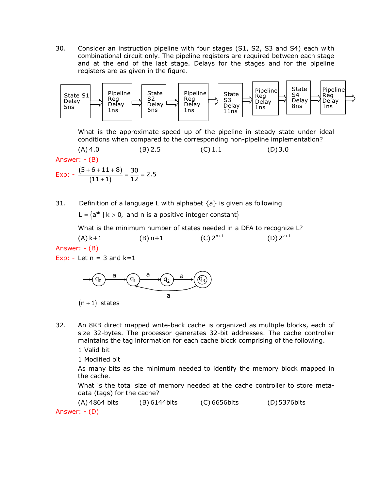30. Consider an instruction pipeline with four stages (S1, S2, S3 and S4) each with combinational circuit only. The pipeline registers are required between each stage and at the end of the last stage. Delays for the stages and for the pipeline registers are as given in the figure.



What is the approximate speed up of the pipeline in steady state under ideal conditions when compared to the corresponding non-pipeline implementation?

 $(A)$  4.0 (B) 2.5 (C) 1.1 (D) 3.0 Answer: - (B) Exp:  $-\frac{(5+6+11+8)}{(11+1)}$  $(11+1)$  $\frac{5+6+11+8)}{(11+1)} = \frac{30}{12} = 2.5$  $\frac{+6+11+8)}{(11+1)} = \frac{30}{12} =$ 

31. Definition of a language L with alphabet  $\{a\}$  is given as following

L =  $\{a^{nk} \mid k > 0$ , and n is a positive integer constant $\}$ 

What is the minimum number of states needed in a DFA to recognize L?

 $(A) k+1$  (B) n+1  $(C)$   $2^{n+1}$  $(D) 2^{k+1}$ Answer: - (B) Exp: - Let  $n = 3$  and  $k=1$ 

$$
\xrightarrow{\qquad \qquad \qquad } \qquad \qquad \overbrace{\qquad \qquad }^{a} \qquad \qquad \overbrace{\qquad \qquad }^{a} \qquad \qquad \overbrace{\qquad \qquad }^{a} \qquad \qquad \overbrace{\qquad \qquad }^{a} \qquad \qquad \overbrace{\qquad \qquad }^{a} \qquad \qquad \overbrace{\qquad \qquad }^{a} \qquad \qquad \overbrace{\qquad \qquad }^{a} \qquad \qquad \overbrace{\qquad \qquad }^{a} \qquad \qquad \overbrace{\qquad \qquad }^{a} \qquad \qquad \overbrace{\qquad \qquad }^{a} \qquad \qquad \overbrace{\qquad \qquad }^{a} \qquad \qquad \overbrace{\qquad \qquad }^{a} \qquad \qquad \overbrace{\qquad \qquad }^{a} \qquad \qquad \overbrace{\qquad \qquad }^{a} \qquad \qquad \overbrace{\qquad \qquad }^{a} \qquad \qquad \overbrace{\qquad \qquad }^{a} \qquad \qquad \overbrace{\qquad \qquad }^{a} \qquad \qquad \overbrace{\qquad \qquad }^{a} \qquad \qquad \overbrace{\qquad \qquad }^{a} \qquad \qquad \overbrace{\qquad \qquad }^{a} \qquad \qquad \overbrace{\qquad \qquad }^{a} \qquad \qquad \overbrace{\qquad \qquad }^{a} \qquad \qquad \overbrace{\qquad \qquad }^{a} \qquad \qquad \overbrace{\qquad \qquad }^{a} \qquad \qquad \overbrace{\qquad \qquad }^{a} \qquad \qquad \overbrace{\qquad \qquad }^{a} \qquad \qquad \overbrace{\qquad \qquad }^{a} \qquad \qquad \overbrace{\qquad \qquad }^{a} \qquad \qquad \overbrace{\qquad \qquad }^{a} \qquad \qquad \overbrace{\qquad \qquad }^{a} \qquad \qquad \overbrace{\qquad \qquad }^{a} \qquad \qquad \overbrace{\qquad \qquad }^{a} \qquad \qquad \overbrace{\qquad \qquad }^{a} \qquad \qquad \overbrace{\qquad \qquad }^{a} \qquad \qquad \overbrace{\qquad \qquad }^{a} \qquad \qquad \overbrace{\qquad \qquad }^{a} \qquad \qquad \overbrace{\qquad \qquad }^{a} \qquad \qquad \overbrace{\qquad \qquad }^{a} \qquad \qquad \overbrace{\qquad \qquad }^{a} \qquad \qquad
$$

 $(n + 1)$  states

32. An 8KB direct mapped write-back cache is organized as multiple blocks, each of size 32-bytes. The processor generates 32-bit addresses. The cache controller maintains the tag information for each cache block comprising of the following.

1 Valid bit

1 Modified bit

As many bits as the minimum needed to identify the memory block mapped in the cache.

What is the total size of memory needed at the cache controller to store metadata (tags) for the cache?

(A) 4864 bits (B) 6144bits (C) 6656bits (D)5376bits Answer: - (D)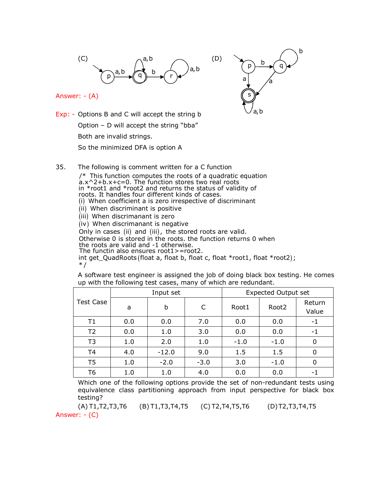

Answer: - (A)



Exp: - Options B and C will accept the string b Option – D will accept the string "bba" Both are invalid strings. So the minimized DFA is option A

- 
- 35. The following is comment written for a C function

 $/*$  This function computes the roots of a quadratic equation a.x^2+b.x+c=0. The function stores two real roots in \*root1 and \*root2 and returns the status of validity of roots. It handles four different kinds of cases. (i) When coefficient a is zero irrespective of discriminant (ii) When discriminant is positive (iii) When discrimanant is zero (iv) When discrimanant is negative Only in cases (ii) and (iii), the stored roots are valid. Otherwise 0 is stored in the roots. the function returns 0 when the roots are valid and -1 otherwise. The functin also ensures root1>=root2. int get\_QuadRoots (float a, float b, float c, float \*root1, float \*root2) ;  $*$  /

A software test engineer is assigned the job of doing black box testing. He comes up with the following test cases, many of which are redundant.

|                  |     | Input set |        |        | <b>Expected Output set</b> |                 |
|------------------|-----|-----------|--------|--------|----------------------------|-----------------|
| <b>Test Case</b> | a   | b         |        | Root1  | Root <sub>2</sub>          | Return<br>Value |
| $\mathsf{T}1$    | 0.0 | 0.0       | 7.0    | 0.0    | 0.0                        | -1              |
| T <sub>2</sub>   | 0.0 | 1.0       | 3.0    | 0.0    | 0.0                        | -1              |
| T <sub>3</sub>   | 1.0 | 2.0       | 1.0    | $-1.0$ | $-1.0$                     | 0               |
| T <sub>4</sub>   | 4.0 | $-12.0$   | 9.0    | 1.5    | 1.5                        |                 |
| T <sub>5</sub>   | 1.0 | $-2.0$    | $-3.0$ | 3.0    | $-1.0$                     | 0               |
| T6               | 1.0 | 1.0       | 4.0    | 0.0    | 0.0                        | - 1             |

Which one of the following options provide the set of non-redundant tests using equivalence class partitioning approach from input perspective for black box testing?

(A) T1,T2,T3,T6 (B) T1,T3,T4,T5 (C) T2,T4,T5,T6 (D)T2,T3,T4,T5 Answer: - (C)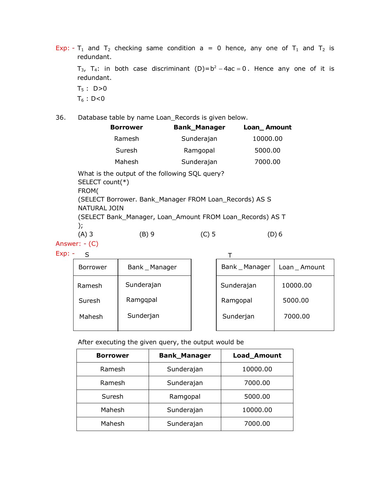Exp: - T<sub>1</sub> and T<sub>2</sub> checking same condition a = 0 hence, any one of T<sub>1</sub> and T<sub>2</sub> is redundant.

T<sub>3</sub>, T<sub>4</sub>: in both case discriminant (D)= $b^2 - 4ac = 0$ . Hence any one of it is redundant.  $T_5$  : D>0  $T_6$  : D<0

36. Database table by name Loan\_Records is given below.

|                                                                                                                                                             | <b>Borrower</b> | <b>Bank_Manager</b> | Loan_Amount |  |
|-------------------------------------------------------------------------------------------------------------------------------------------------------------|-----------------|---------------------|-------------|--|
|                                                                                                                                                             | Ramesh          | Sunderajan          | 10000.00    |  |
|                                                                                                                                                             | Suresh          | Ramgopal            | 5000.00     |  |
|                                                                                                                                                             | Mahesh          | Sunderajan          | 7000.00     |  |
| What is the output of the following SQL query?<br>SELECT count(*)<br>FROM(<br>(SELECT Borrower. Bank_Manager FROM Loan_Records) AS S<br><b>NATURAL JOIN</b> |                 |                     |             |  |
| (SELECT Bank_Manager, Loan_Amount FROM Loan_Records) AS T<br>$\mathcal{C}$                                                                                  |                 |                     |             |  |
| $(A)$ 3                                                                                                                                                     | ΈB) 9           | (C) 5               | D) 6        |  |

Answer: - (C) Exp: - S

| <b>Borrower</b> | Bank _ Manager | Bank _ Manager | Loan _ Amount |
|-----------------|----------------|----------------|---------------|
| Ramesh          | Sunderajan     | Sunderajan     | 10000.00      |
| Suresh          | Ramgqpal       | Ramgopal       | 5000.00       |
| Mahesh          | Sunderjan      | Sunderjan      | 7000.00       |

After executing the given query, the output would be

| <b>Borrower</b> | <b>Bank_Manager</b> | Load_Amount |
|-----------------|---------------------|-------------|
| Ramesh          | Sunderajan          | 10000.00    |
| Ramesh          | Sunderajan          | 7000.00     |
| Suresh          | Ramgopal            | 5000.00     |
| Mahesh          | Sunderajan          | 10000.00    |
| Mahesh          | Sunderajan          | 7000.00     |